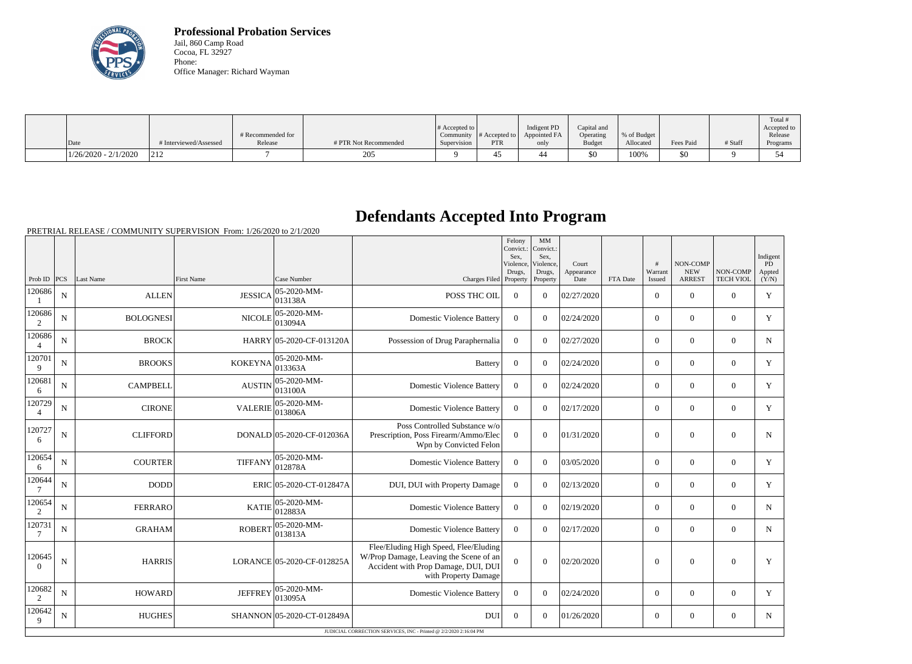

**Professional Probation Services** Jail, 860 Camp Road Cocoa, FL 32927 Phone: Office Manager: Richard Wayman

|                        |                        |                   |                       |                       |               |              |               |             |           |         | Total #     |
|------------------------|------------------------|-------------------|-----------------------|-----------------------|---------------|--------------|---------------|-------------|-----------|---------|-------------|
|                        |                        |                   |                       | # Accepted to $\vert$ |               | Indigent PD  | Capital and   |             |           |         | Accepted to |
|                        |                        | # Recommended for |                       | Community             | # Accepted to | Appointed FA | Operating     | % of Budget |           |         | Release     |
| Date                   | # Interviewed/Assessed | Release           | # PTR Not Recommended | Supervision           | <b>PTR</b>    | only         | <b>Budget</b> | Allocated   | Fees Paid | # Staff | Programs    |
| $1/26/2020 - 2/1/2020$ | 212                    |                   | 205                   |                       |               |              | \$0           | 100%        | \$0       |         | 54          |

## **Defendants Accepted Into Program**

PRETRIAL RELEASE / COMMUNITY SUPERVISION From: 1/26/2020 to 2/1/2020

|                          |                                                                   |                  |                   |                                |                                                                                                                                                | Felony<br>Convict.:<br>Sex.<br>Violence, | MM<br>Convict.:<br>Sex.<br>Violence, | Court              |          | #                 | <b>NON-COMP</b>             |                              | Indigent<br><b>PD</b> |
|--------------------------|-------------------------------------------------------------------|------------------|-------------------|--------------------------------|------------------------------------------------------------------------------------------------------------------------------------------------|------------------------------------------|--------------------------------------|--------------------|----------|-------------------|-----------------------------|------------------------------|-----------------------|
| Prob ID $ PCS $          |                                                                   | Last Name        | <b>First Name</b> | Case Number                    | Charges Filed Property                                                                                                                         | Drugs,                                   | Drugs,<br>Property                   | Appearance<br>Date | FTA Date | Warrant<br>Issued | <b>NEW</b><br><b>ARREST</b> | NON-COMP<br><b>TECH VIOL</b> | Appted<br>(Y/N)       |
| 120686                   | $\mathbf N$                                                       | <b>ALLEN</b>     | <b>JESSICA</b>    | $ 05-2020-MM-$<br>013138A      | POSS THC OIL                                                                                                                                   | $\theta$                                 | $\Omega$                             | 02/27/2020         |          | $\overline{0}$    | $\theta$                    | $\Omega$                     | Y                     |
| 120686<br>2              | $\mathbf N$                                                       | <b>BOLOGNESI</b> | <b>NICOLE</b>     | 05-2020-MM-<br>013094A         | <b>Domestic Violence Battery</b>                                                                                                               | $\Omega$                                 | $\Omega$                             | 02/24/2020         |          | $\Omega$          | $\Omega$                    | $\Omega$                     | Y                     |
| 120686<br>$\overline{4}$ | $\mathbf N$                                                       | <b>BROCK</b>     |                   | HARRY 05-2020-CF-013120A       | Possession of Drug Paraphernalia                                                                                                               | $\boldsymbol{0}$                         | $\Omega$                             | 02/27/2020         |          | $\Omega$          | $\theta$                    | $\Omega$                     | N                     |
| 120701<br>9              | $\mathbf N$                                                       | <b>BROOKS</b>    | <b>KOKEYNA</b>    | $ 05 - 2020 - MM -$<br>013363A | <b>Battery</b>                                                                                                                                 | $\theta$                                 | $\Omega$                             | 02/24/2020         |          | $\overline{0}$    | $\theta$                    | $\overline{0}$               | Y                     |
| 120681<br>6              | $\mathbf N$                                                       | <b>CAMPBELL</b>  | <b>AUSTIN</b>     | 05-2020-MM-<br>013100A         | <b>Domestic Violence Battery</b>                                                                                                               | $\Omega$                                 | $\Omega$                             | 02/24/2020         |          | $\overline{0}$    | $\theta$                    | $\overline{0}$               | Y                     |
| 120729<br>$\overline{4}$ | $\mathbf N$                                                       | <b>CIRONE</b>    | <b>VALERIE</b>    | 05-2020-MM-<br>013806A         | <b>Domestic Violence Battery</b>                                                                                                               | $\mathbf{0}$                             | $\Omega$                             | 02/17/2020         |          | $\overline{0}$    | $\overline{0}$              | $\mathbf{0}$                 | $\mathbf Y$           |
| 120727<br>6              | ${\bf N}$                                                         | <b>CLIFFORD</b>  |                   | DONALD 05-2020-CF-012036A      | Poss Controlled Substance w/o<br>Prescription, Poss Firearm/Ammo/Elec<br>Wpn by Convicted Felon                                                | $\overline{0}$                           | $\theta$                             | 01/31/2020         |          | $\overline{0}$    | $\theta$                    | $\mathbf{0}$                 | $\mathbf N$           |
| 120654<br>6              | ${\bf N}$                                                         | <b>COURTER</b>   | <b>TIFFANY</b>    | 05-2020-MM-<br>012878A         | <b>Domestic Violence Battery</b>                                                                                                               | $\mathbf{0}$                             | $\Omega$                             | 03/05/2020         |          | $\overline{0}$    | $\overline{0}$              | $\overline{0}$               | Y                     |
| 120644                   | $\mathbf N$                                                       | <b>DODD</b>      |                   | ERIC 05-2020-CT-012847A        | DUI, DUI with Property Damage                                                                                                                  | $\boldsymbol{0}$                         | $\theta$                             | 02/13/2020         |          | $\overline{0}$    | $\theta$                    | $\overline{0}$               | $\mathbf Y$           |
| 120654<br>2              | $\mathbf N$                                                       | <b>FERRARO</b>   | <b>KATIE</b>      | 05-2020-MM-<br>012883A         | <b>Domestic Violence Battery</b>                                                                                                               | $\mathbf{0}$                             | $\Omega$                             | 02/19/2020         |          | $\overline{0}$    | $\Omega$                    | $\overline{0}$               | $\mathbf N$           |
| 120731<br>7              | $\mathbf N$                                                       | <b>GRAHAM</b>    | <b>ROBERT</b>     | 05-2020-MM-<br> 013813A        | <b>Domestic Violence Battery</b>                                                                                                               | $\overline{0}$                           | $\Omega$                             | 02/17/2020         |          | $\overline{0}$    | $\theta$                    | $\Omega$                     | $\mathbf N$           |
| 120645<br>$\Omega$       | $\mathbf N$                                                       | <b>HARRIS</b>    |                   | LORANCE 05-2020-CF-012825A     | Flee/Eluding High Speed, Flee/Eluding<br>W/Prop Damage, Leaving the Scene of an<br>Accident with Prop Damage, DUI, DUI<br>with Property Damage | $\Omega$                                 | $\Omega$                             | 02/20/2020         |          | $\overline{0}$    | $\Omega$                    | $\mathbf{0}$                 | Y                     |
| 120682<br>$\overline{2}$ | ${\bf N}$                                                         | <b>HOWARD</b>    | <b>JEFFREY</b>    | 05-2020-MM-<br> 013095A        | <b>Domestic Violence Battery</b>                                                                                                               | $\boldsymbol{0}$                         | $\Omega$                             | 02/24/2020         |          | $\overline{0}$    | $\Omega$                    | $\overline{0}$               | Y                     |
| 120642<br>9              | ${\bf N}$                                                         | <b>HUGHES</b>    |                   | SHANNON 05-2020-CT-012849A     | <b>DUI</b>                                                                                                                                     | $\theta$                                 | $\Omega$                             | 01/26/2020         |          | $\overline{0}$    | $\boldsymbol{0}$            | $\Omega$                     | $\mathbf N$           |
|                          | JUDICIAL CORRECTION SERVICES, INC - Printed @ 2/2/2020 2:16:04 PM |                  |                   |                                |                                                                                                                                                |                                          |                                      |                    |          |                   |                             |                              |                       |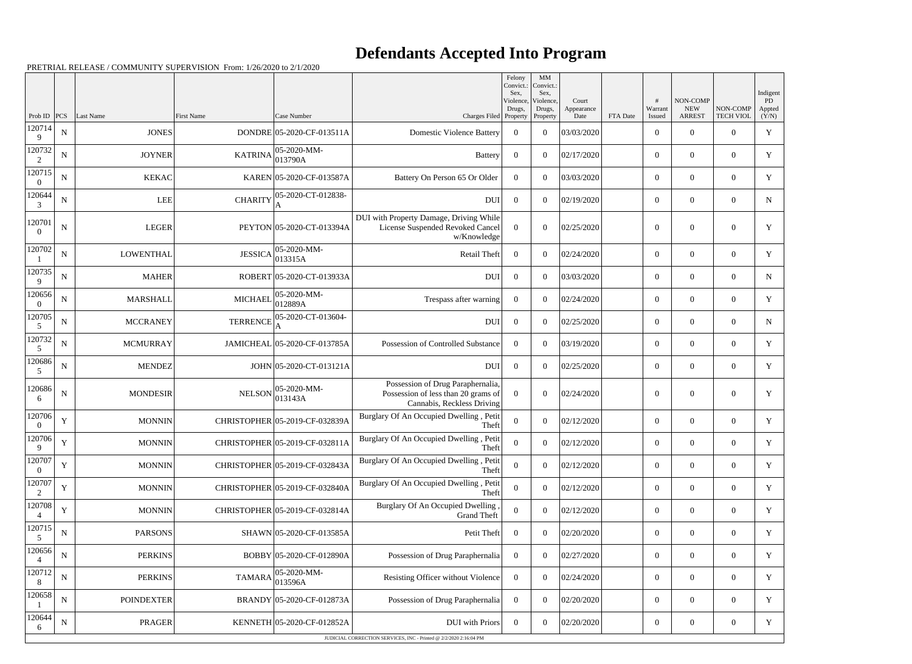## **Defendants Accepted Into Program**

Prob ID | PCS | Last Name | First Name | Case Number | Case Number | Case Number | Charges Filed Felony Convict.: Sex, Violence Drugs, Property MM Convict. Sex, Violence, Drugs, Property Court Appearance Date FTA Date # Warrant Issued NON-COMP NEW ARREST NON-COMP TECH VIOL Indigent PD Appted  $(Y/N)$ 120714 9  $N$  JONES DONDRE 05-2020-CF-013511A Domestic Violence Battery 0 0 03/03/2020 0 0 0 0 0 0  $\gamma$ 120732 2  $N \parallel$  JOYNER KATRINA 05-2020-MM- $0.3790$ A Battery  $0 \begin{array}{|c|c|c|c|c|c|c|c|c|} \hline 0 & 0 & 02/17/2020 & 0 & 0 & 0 \ \hline \end{array}$ 120715 0 N KEKAC KAREN 05-2020-CF-013587A Battery On Person 65 Or Older 0 0 03/03/2020 0 0 0 0 0 0 Y 120644 3  $N$  LEE CHARITY  $\begin{bmatrix} 05-2020\text{-CT}-012838\end{bmatrix}$ A DUI 0 0 02/19/2020 0 0 0 0 N 120701  $\theta$ N | LEGER PEYTON 05-2020-CT-013394A DUI with Property Damage, Driving While License Suspended Revoked Cancel w/Knowledge  $0 \quad 0 \quad | \quad 0 \quad |02/25/2020$  0 0 0 1 Y 120702 1  $N$  LOWENTHAL JESSICA 05-2020-MM-003-2020-MM-<br>013315A Retail Theft  $\begin{array}{|c|c|c|c|c|c|c|c|c|} \hline 0 & 0 & 02/24/2020 & 0 & 0 & 0 \ \hline \end{array}$ 120735 9  $N$  MAHER ROBERT 05-2020-CT-013933A DUI 0 0 03/03/2020 0 0 0 0 0 0  $\mu$ 120656 0 N MARSHALL MICHAEL 05-2020-MM-012889A Trespass after warning <sup>0</sup> <sup>0</sup> 02/24/2020 <sup>0</sup> <sup>0</sup> <sup>0</sup> <sup>Y</sup> 120705 5 N MCCRANEY TERRENCE 05-2020-CT-013604-A  $\text{DUI} \begin{array}{|c|c|c|c|c|} \hline 0 & 0 & 02/25/2020 & & 0 & 0 & 0 \ \hline \end{array}$ 120732 5 N MCMURRAY JAMICHEAL 05-2020-CF-013785A Possession of Controlled Substance 0 0 03/19/2020 0 0 0 0 0 0 y 120686 5  $N$  MENDEZ MENDEZ JOHN 05-2020-CT-013121A 120686 6  $N$  MONDESIR NELSON 05-2020-MM-013143A Possession of Drug Paraphernalia, Possession of less than 20 grams of Cannabis, Reckless Driving  $0 \t 0 \t 02/24/2020$  0 0  $0 \t Y$ 120706 0 Y MONNIN CHRISTOPHER 05-2019-CF-032839A Burglary Of An Occupied Dwelling , Petit Theft <sup>0</sup> <sup>0</sup> 02/12/2020 <sup>0</sup> <sup>0</sup> <sup>0</sup> <sup>Y</sup> 120706 9 Y MONNIN CHRISTOPHER 05-2019-CF-032811A Burglary Of An Occupied Dwelling , Petit Theft <sup>0</sup> <sup>0</sup> 02/12/2020 <sup>0</sup> <sup>0</sup> <sup>0</sup> <sup>Y</sup> 120707 0 Y MONNIN CHRISTOPHER 05-2019-CF-032843A Burglary Of An Occupied Dwelling , Petit Theft <sup>0</sup> <sup>0</sup> 02/12/2020 <sup>0</sup> <sup>0</sup> <sup>0</sup> <sup>Y</sup> 120707 2 Y MONNIN CHRISTOPHER 05-2019-CF-032840A Burglary Of An Occupied Dwelling , Petit  $\begin{array}{c|c|c|c|c|c|c|c|c} \hline \text{Theta} & 0 & 0 & 02/12/2020 & 0 & 0 & 0 \ \hline \end{array}$ 120708 4 Y MONNIN CHRISTOPHER 05-2019-CF-032814A Burglary Of An Occupied Dwelling Grand Theft Grand Theft  $\begin{bmatrix} 0 & 0 & 0 \end{bmatrix}$   $\begin{bmatrix} 0.2/12/2020 & 0 \end{bmatrix}$   $\begin{bmatrix} 0 & 0 & 0 \end{bmatrix}$   $\begin{bmatrix} 0 & 0 & 0 \end{bmatrix}$ 120715 5 N PARSONS SHAWN 05-2020-CF-013585A 120656 4 N PERKINS BOBBY 05-2020-CF-012890A Possession of Drug Paraphernalia 0 0 02/27/2020 0 0 0 0 0  $\gamma$ 120712 8  $N \parallel$  PERKINS TAMARA  $05\text{-}2020\text{-}MM\text{-}$ 05-2020-MM-<br>013596A Resisting Officer without Violence  $\begin{vmatrix} 0 & 0 & 0 \end{vmatrix}$   $\begin{vmatrix} 0 & 0 \end{vmatrix}$   $\begin{vmatrix} 0 & 0 \end{vmatrix}$   $\begin{vmatrix} 0 & 0 \end{vmatrix}$   $\begin{vmatrix} 0 & 0 \end{vmatrix}$   $\begin{vmatrix} 0 & 0 \end{vmatrix}$   $\begin{vmatrix} 0 & 0 \end{vmatrix}$   $\begin{vmatrix} 0 & 0 \end{vmatrix}$   $\begin$ 120658 1 N POINDEXTER BRANDY 05-2020-CF-012873A Possession of Drug Paraphernalia 0 0 02/20/2020 0 0 0 Y 120644 6  $N$  PRAGER KENNETH 05-2020-CF-012852A DUI with Priors 0 0 02/20/2020 0 0 0 0 0 0 0 JUDICIAL CORRECTION SERVICES, INC - Printed @ 2/2/2020 2:16:04 PM

PRETRIAL RELEASE / COMMUNITY SUPERVISION From: 1/26/2020 to 2/1/2020